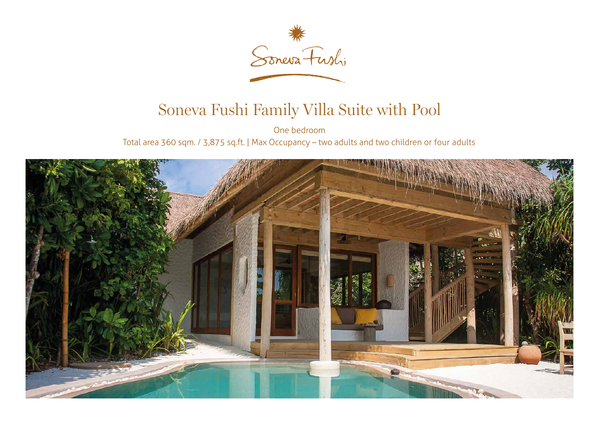

## Soneva Fushi Family Villa Suite with Pool

One bedroom Total area 360 sqm. / 3,875 sq.ft. | Max Occupancy – two adults and two children or four adults

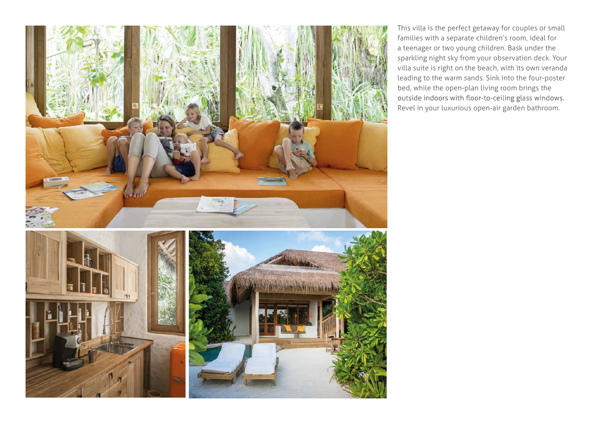

This villa is the perfect getaway for couples or small families with a separate children's room, ideal for a teenager or two young children. Bask under the sparkling night sky from your observation deck. Your villa suite is right on the beach, with its own veranda leading to the warm sands. Sink into the four-poster bed, while the open-plan living room brings the outside indoors with floor-to-ceiling glass windows. Revel in your luxurious open-air garden bathroom.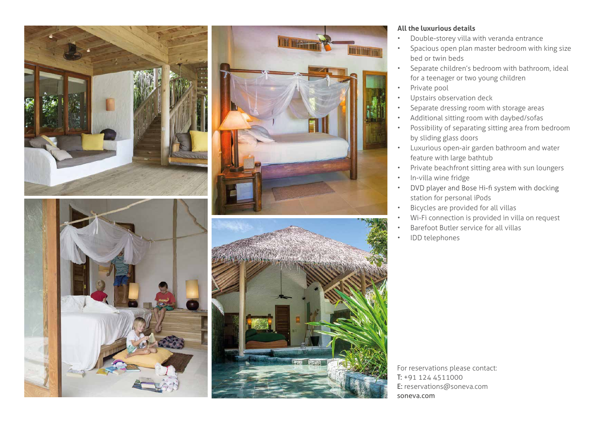





## **All the luxurious details**

- Double-storey villa with veranda entrance
- Spacious open plan master bedroom with king size bed or twin beds
- Separate children's bedroom with bathroom, ideal for a teenager or two young children
- Private pool
- Upstairs observation deck
- Separate dressing room with storage areas
- Additional sitting room with daybed/sofas
- Possibility of separating sitting area from bedroom by sliding glass doors
- Luxurious open-air garden bathroom and water feature with large bathtub
- Private beachfront sitting area with sun loungers
- In-villa wine fridge
- DVD player and Bose Hi-fi system with docking • station for personal iPods
- Bicycles are provided for all villas
- Wi-Fi connection is provided in villa on request
- Barefoot Butler service for all villas
- IDD telephones

For reservations please contact: T: +91 124 4511000 E: reservations@soneva.com soneva.com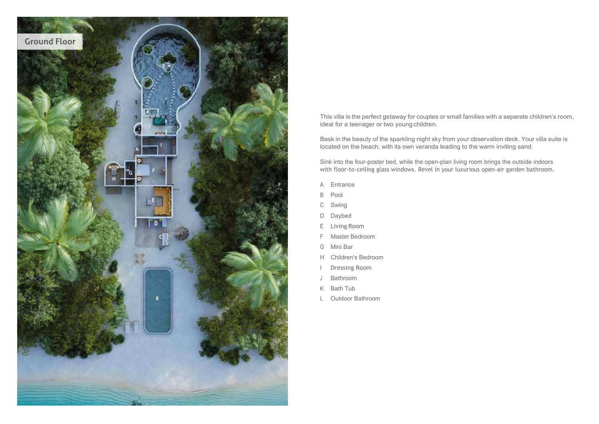

This villa is the perfect getaway for couples or small families with a separate children's room, ideal for a teenager or two young children.

Bask in the beauty of the sparkling night sky from your observation deck. Your villa suite is located on the beach, with its own veranda leading to the warm inviting sand.

Sink into the four-poster bed, while the open-plan living room brings the outside indoors with floor-to-ceiling glass windows. Revel in your luxurious open-air garden bathroom.

- A Entrance
- B Pool
- C Swing
- D Daybed
- E Living Room
- F Master Bedroom
- G Mini Bar
- H Children's Bedroom
- I Dressing Room
- J Bathroom
- K Bath Tub
- L Outdoor Bathroom